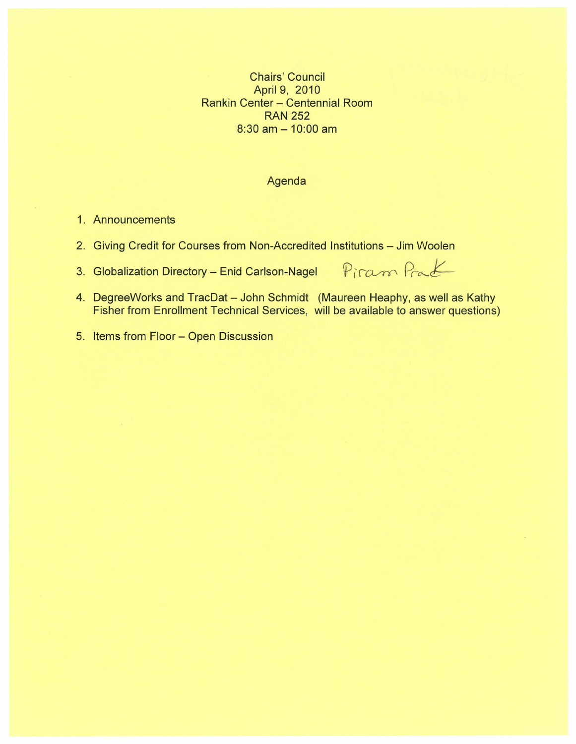Chairs' Council April 9, 2010 Rankin Center - Centennial Room RAN 252  $8:30$  am  $- 10:00$  am

# Agenda

- 1. Announcements
- 2. Giving Credit for Courses from Non-Accredited Institutions Jim Woolen
- 3. Globalization Directory Enid Carlson-Nagel

Piram Prat

- 4. DegreeWorks and TracDat John Schmidt (Maureen Heaphy, as well as Kathy Fisher from Enrollment Technical Services, will be available to answer questions)
- 5. Items from Floor- Open Discussion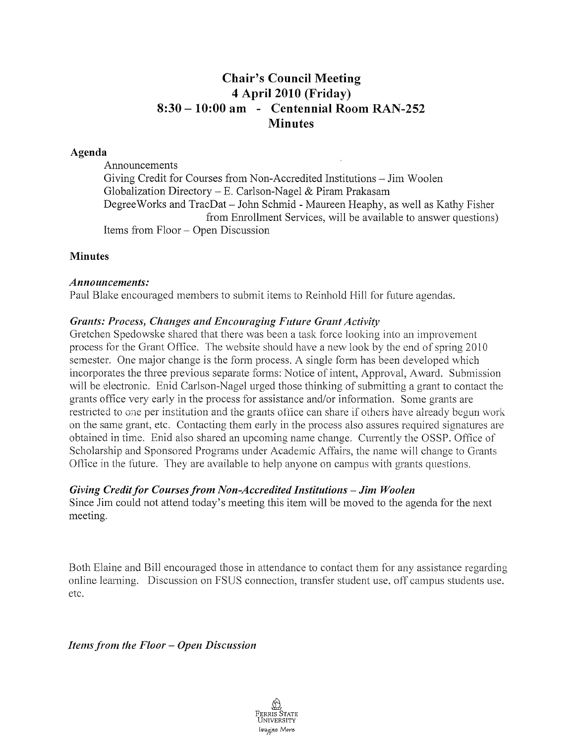# **Chair's Council Meeting 4 April 2010 (Friday) 8:30 - 10:00 am - Centennial Room RAN-252 Minutes**

### **Agenda**

Announcements Giving Credit for Courses from Non-Accredited Institutions - Jim Woolen Globalization Directory – E. Carlson-Nagel & Piram Prakasam Degree Works and TracDat- John Schmid - Maureen Heaphy, as well as Kathy Fisher from Enrollment Services, will be available to answer questions) Items from Floor - Open Discussion

#### **Minutes**

#### *Announcements:*

Paul Blake encouraged members to submit items to Reinhold Hill for future agendas.

# *Grants: Process, Changes and Encouraging Future Grant Activity*

Gretchen Spedowske shared that there was been a task force looking into an improvement process for the Grant Office. The website should have a new look by the end of spring 2010 semester. One major change is the form process. A single form has been developed which incorporates the three previous separate forms: Notice of intent, Approval, Award. Submission will be electronic. Enid Carlson-Nagel urged those thinking of submitting a grant to contact the grants office very early in the process for assistance and/or information. Some grants are restricted to one per institution and the grants office can share if others have already begun work on the same grant, etc. Contacting them early in the process also assures required signatures are obtained in time. Enid also shared an upcoming name change. Currently the OSSP. Office of Scholarship and Sponsored Programs under Academic Affairs, the name will change to Grants Office in the future. They are available to help anyone on campus with grants questions.

# *Giving Credit for Courses from Non-Accredited Institutions -Jim Woolen*

Since Jim could not attend today's meeting this item will be moved to the agenda for the next meeting.

Both Elaine and Bill encouraged those in attendance to contact them for any assistance regarding online learning. Discussion on FSUS connection, transfer student use. off campus students use. etc.

*Items from tlte Floor* - *Open Discussion*